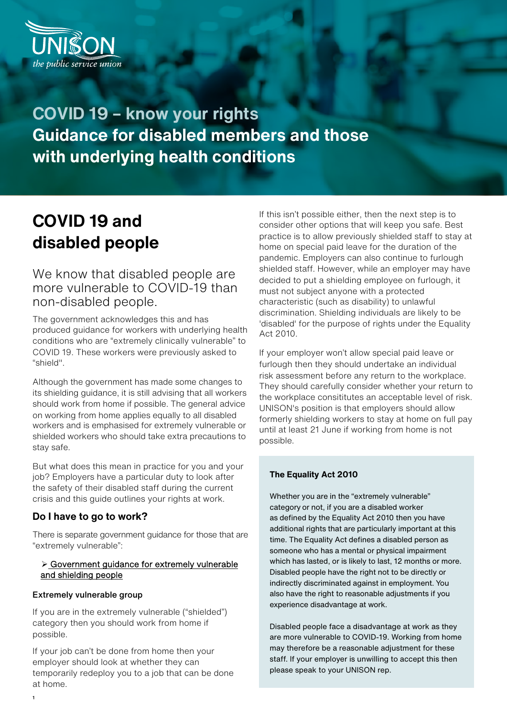

**COVID 19 – know your rights Guidance for disabled members and those with underlying health conditions**

# **COVID 19 and disabled people**

We know that disabled people are more vulnerable to COVID-19 than non-disabled people.

The government acknowledges this and has produced guidance for workers with underlying health conditions who are "extremely clinically vulnerable" to COVID 19. These workers were previously asked to "shield".

Although the government has made some changes to its shielding guidance, it is still advising that all workers should work from home if possible. The general advice on working from home applies equally to all disabled workers and is emphasised for extremely vulnerable or shielded workers who should take extra precautions to stay safe.

But what does this mean in practice for you and your job? Employers have a particular duty to look after the safety of their disabled staff during the current crisis and this guide outlines your rights at work.

#### **Do I have to go to work?**

There is separate government guidance for those that are "extremely vulnerable":

#### [Government guidance for extremely vulnerab](https://www.gov.uk/government/publications/guidance-on-shielding-and-protecting-extremely-vulnerable-persons-from-covid-19)le [and shielding people](https://www.gov.uk/government/publications/guidance-on-shielding-and-protecting-extremely-vulnerable-persons-from-covid-19)

#### [Extremely vulnerable group](https://www.gov.uk/government/publications/staying-alert-and-safe-social-distancing/staying-alert-and-safe-social-distancing#clinically-vulnerable-people)

If you are in the extremely vulnerable ("shielded") category then you should work from home if possible.

If your job can't be done from home then your employer should look at whether they can temporarily redeploy you to a job that can be done at home.

If this isn't possible either, then the next step is to consider other options that will keep you safe. Best practice is to allow previously shielded staff to stay at home on special paid leave for the duration of the pandemic. Employers can also continue to furlough shielded staff. However, while an employer may have decided to put a shielding employee on furlough, it must not subject anyone with a protected characteristic (such as disability) to unlawful discrimination. Shielding individuals are likely to be 'disabled' for the purpose of rights under the Equality Act 2010.

If your employer won't allow special paid leave or furlough then they should undertake an individual risk assessment before any return to the workplace. They should carefully consider whether your return to the workplace consititutes an acceptable level of risk. UNISON's position is that employers should allow formerly shielding workers to stay at home on full pay until at least 21 June if working from home is not possible.

#### **The Equality Act 2010**

Whether you are in the "extremely vulnerable" category or not, if you are a disabled worker as defined by the Equality Act 2010 then you have additional rights that are particularly important at this time. The Equality Act defines a disabled person as someone who has a mental or physical impairment which has lasted, or is likely to last, 12 months or more. Disabled people have the right not to be directly or indirectly discriminated against in employment. You also have the right to reasonable adjustments if you experience disadvantage at work.

Disabled people face a disadvantage at work as they are more vulnerable to COVID-19. Working from home may therefore be a reasonable adjustment for these staff. If your employer is unwilling to accept this then please speak to your UNISON rep.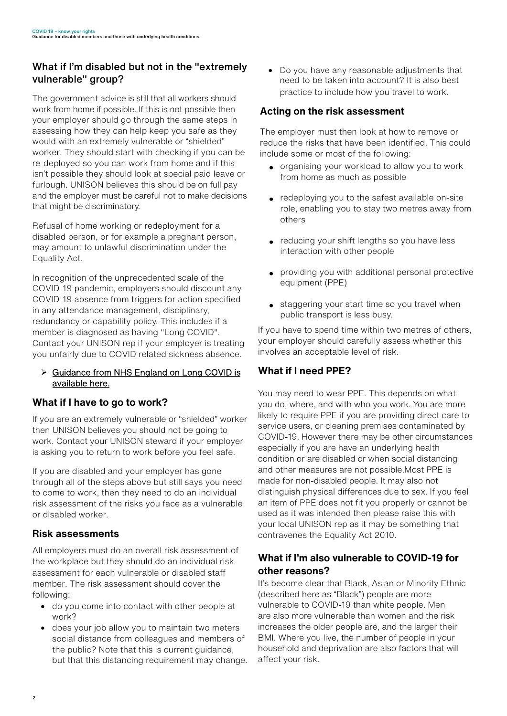# What if I'm disabled but not in the "extremely vulnerable" group?

The government advice is still that all workers should work from home if possible. If this is not possible then your employer should go through the same steps in assessing how they can help keep you safe as they would with an extremely vulnerable or "shielded" worker. They should start with checking if you can be re-deployed so you can work from home and if this isn't possible they should look at special paid leave or furlough. UNISON believes this should be on full pay and the employer must be careful not to make decisions that might be discriminatory.

Refusal of home working or redeployment for a disabled person, or for example a pregnant person, may amount to unlawful discrimination under the Equality Act.

In recognition of the unprecedented scale of the COVID-19 pandemic, employers should discount any COVID-19 absence from triggers for action specified in any attendance management, disciplinary, redundancy or capability policy. This includes if a member is diagnosed as having "Long COVID". Contact your UNISON rep if your employer is treating you unfairly due to COVID related sickness absence.

#### ▶ [Guidance from NHS England on Long COVID](https://www.england.nhs.uk/coronavirus/post-covid-syndrome-long-covid/) is available here.

# **What if I have to go to work?**

If you are an extremely vulnerable or "shielded" worker then UNISON believes you should not be going to work. Contact your UNISON steward if your employer is asking you to return to work before you feel safe.

If you are disabled and your employer has gone through all of the steps above but still says you need to come to work, then they need to do an individual risk assessment of the risks you face as a vulnerable or disabled worker.

# **Risk assessments**

All employers must do an overall risk assessment of the workplace but they should do an individual risk assessment for each vulnerable or disabled staff member. The risk assessment should cover the following:

- do you come into contact with other people at work?
- does your job allow you to maintain two meters social distance from colleagues and members of the public? Note that this is current guidance, but that this distancing requirement may change.

• Do you have any reasonable adjustments that need to be taken into account? It is also best practice to include how you travel to work.

# **Acting on the risk assessment**

The employer must then look at how to remove or reduce the risks that have been identified. This could include some or most of the following:

- organising your workload to allow you to work from home as much as possible
- redeploying you to the safest available on-site role, enabling you to stay two metres away from others
- reducing your shift lengths so you have less interaction with other people
- providing you with additional personal protective equipment (PPE)
- staggering your start time so you travel when public transport is less busy.

If you have to spend time within two metres of others, your employer should carefully assess whether this involves an acceptable level of risk.

# **What if I need PPE?**

You may need to wear PPE. This depends on what you do, where, and with who you work. You are more likely to require PPE if you are providing direct care to service users, or cleaning premises contaminated by COVID-19. However there may be other circumstances especially if you are have an underlying health condition or are disabled or when social distancing and other measures are not possible.Most PPE is made for non-disabled people. It may also not distinguish physical differences due to sex. If you feel an item of PPE does not fit you properly or cannot be used as it was intended then please raise this with your local UNISON rep as it may be something that contravenes the Equality Act 2010.

# **What if I'm also vulnerable to COVID-19 for other reasons?**

It's become clear that Black, Asian or Minority Ethnic (described here as "Black") people are more vulnerable to COVID-19 than white people. Men are also more vulnerable than women and the risk increases the older people are, and the larger their BMI. Where you live, the number of people in your household and deprivation are also factors that will affect your risk.